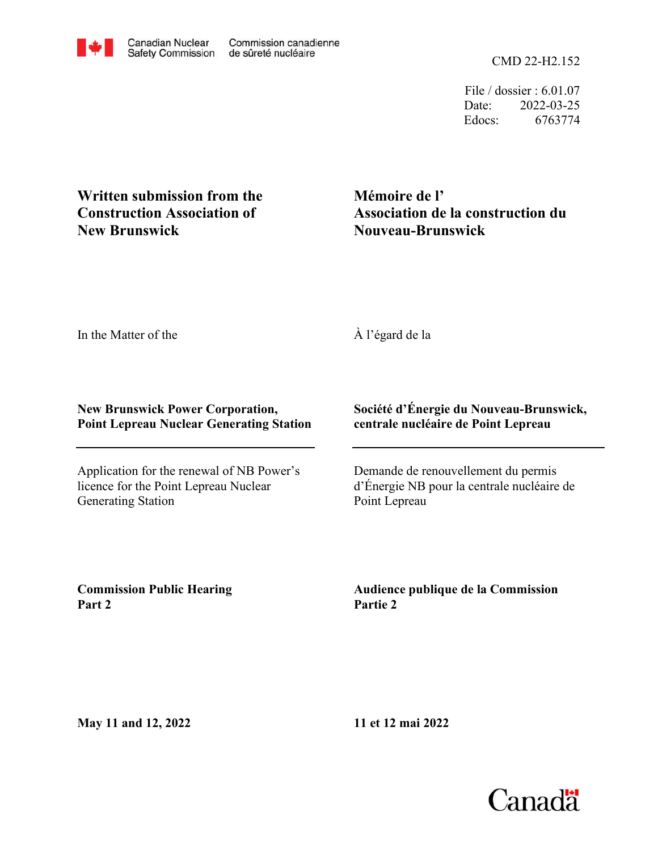CMD 22-H2.152

File / dossier : 6.01.07 Date: 2022-03-25 Edocs: 6763774

**Written submission from the Construction Association of New Brunswick**

**Mémoire de l' Association de la construction du Nouveau-Brunswick**

In the Matter of the

## À l'égard de la

## **New Brunswick Power Corporation, Point Lepreau Nuclear Generating Station**

Application for the renewal of NB Power's licence for the Point Lepreau Nuclear Generating Station

## **Société d'Énergie du Nouveau-Brunswick, centrale nucléaire de Point Lepreau**

Demande de renouvellement du permis d'Énergie NB pour la centrale nucléaire de Point Lepreau

**Commission Public Hearing Part 2**

**Audience publique de la Commission Partie 2**

**May 11 and 12, 2022**

**11 et 12 mai 2022**